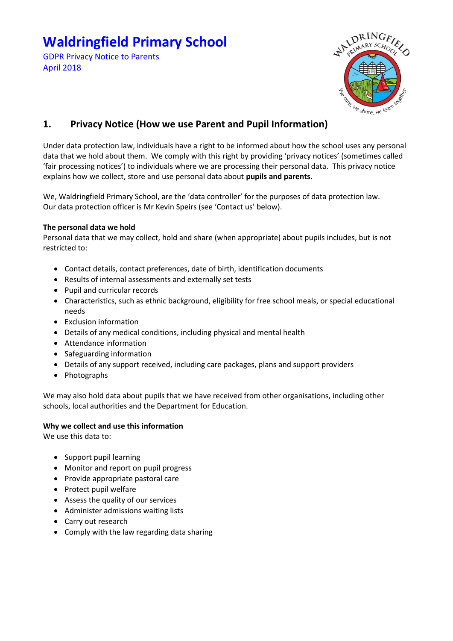# **Waldringfield Primary School**

GDPR Privacy Notice to Parents April 2018



# **1. Privacy Notice (How we use Parent and Pupil Information)**

Under data protection law, individuals have a right to be informed about how the school uses any personal data that we hold about them. We comply with this right by providing 'privacy notices' (sometimes called 'fair processing notices') to individuals where we are processing their personal data. This privacy notice explains how we collect, store and use personal data about **pupils and parents**.

We, Waldringfield Primary School, are the 'data controller' for the purposes of data protection law. Our data protection officer is Mr Kevin Speirs (see 'Contact us' below).

# **The personal data we hold**

Personal data that we may collect, hold and share (when appropriate) about pupils includes, but is not restricted to:

- Contact details, contact preferences, date of birth, identification documents
- Results of internal assessments and externally set tests
- Pupil and curricular records
- Characteristics, such as ethnic background, eligibility for free school meals, or special educational needs
- Exclusion information
- Details of any medical conditions, including physical and mental health
- Attendance information
- Safeguarding information
- Details of any support received, including care packages, plans and support providers
- Photographs

We may also hold data about pupils that we have received from other organisations, including other schools, local authorities and the Department for Education.

# **Why we collect and use this information**

We use this data to:

- Support pupil learning
- Monitor and report on pupil progress
- Provide appropriate pastoral care
- Protect pupil welfare
- Assess the quality of our services
- Administer admissions waiting lists
- Carry out research
- Comply with the law regarding data sharing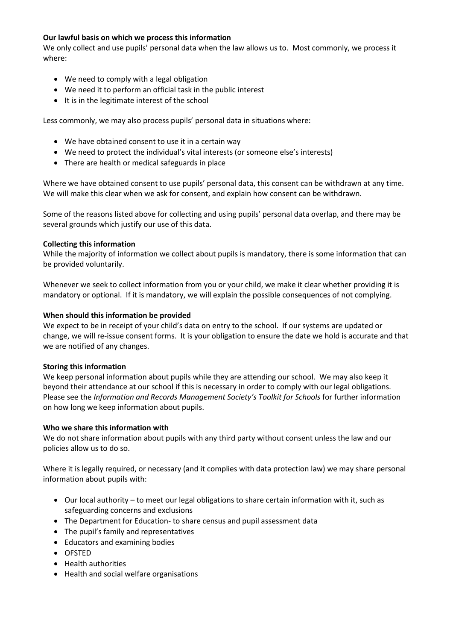# **Our lawful basis on which we process this information**

We only collect and use pupils' personal data when the law allows us to. Most commonly, we process it where:

- We need to comply with a legal obligation
- We need it to perform an official task in the public interest
- It is in the legitimate interest of the school

Less commonly, we may also process pupils' personal data in situations where:

- We have obtained consent to use it in a certain way
- We need to protect the individual's vital interests (or someone else's interests)
- There are health or medical safeguards in place

Where we have obtained consent to use pupils' personal data, this consent can be withdrawn at any time. We will make this clear when we ask for consent, and explain how consent can be withdrawn.

Some of the reasons listed above for collecting and using pupils' personal data overlap, and there may be several grounds which justify our use of this data.

#### **Collecting this information**

While the majority of information we collect about pupils is mandatory, there is some information that can be provided voluntarily.

Whenever we seek to collect information from you or your child, we make it clear whether providing it is mandatory or optional. If it is mandatory, we will explain the possible consequences of not complying.

#### **When should this information be provided**

We expect to be in receipt of your child's data on entry to the school. If our systems are updated or change, we will re-issue consent forms. It is your obligation to ensure the date we hold is accurate and that we are notified of any changes.

#### **Storing this information**

We keep personal information about pupils while they are attending our school. We may also keep it beyond their attendance at our school if this is necessary in order to comply with our legal obligations. Please see the *[Information and Records Management Society's Toolkit for Schools](http://irms.org.uk/?page=schoolstoolkit&terms=%22toolkit+and+schools%22)* for further information on how long we keep information about pupils.

#### **Who we share this information with**

We do not share information about pupils with any third party without consent unless the law and our policies allow us to do so.

Where it is legally required, or necessary (and it complies with data protection law) we may share personal information about pupils with:

- Our local authority to meet our legal obligations to share certain information with it, such as safeguarding concerns and exclusions
- The Department for Education- to share census and pupil assessment data
- The pupil's family and representatives
- Educators and examining bodies
- OFSTED
- Health authorities
- Health and social welfare organisations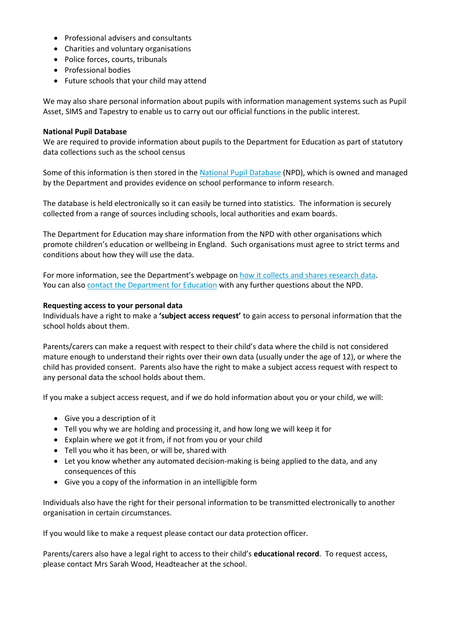- Professional advisers and consultants
- Charities and voluntary organisations
- Police forces, courts, tribunals
- Professional bodies
- Future schools that your child may attend

We may also share personal information about pupils with information management systems such as Pupil Asset, SIMS and Tapestry to enable us to carry out our official functions in the public interest.

#### **National Pupil Database**

We are required to provide information about pupils to the Department for Education as part of statutory data collections such as the school census

Some of this information is then stored in the [National Pupil Database](https://www.gov.uk/government/publications/national-pupil-database-user-guide-and-supporting-information) (NPD), which is owned and managed by the Department and provides evidence on school performance to inform research.

The database is held electronically so it can easily be turned into statistics. The information is securely collected from a range of sources including schools, local authorities and exam boards.

The Department for Education may share information from the NPD with other organisations which promote children's education or wellbeing in England. Such organisations must agree to strict terms and conditions about how they will use the data.

For more information, see the Department's webpage on [how it collects and shares research data.](https://www.gov.uk/data-protection-how-we-collect-and-share-research-data) You can als[o contact the Department for Education](https://www.gov.uk/contact-dfe) with any further questions about the NPD.

#### **Requesting access to your personal data**

Individuals have a right to make a **'subject access request'** to gain access to personal information that the school holds about them.

Parents/carers can make a request with respect to their child's data where the child is not considered mature enough to understand their rights over their own data (usually under the age of 12), or where the child has provided consent. Parents also have the right to make a subject access request with respect to any personal data the school holds about them.

If you make a subject access request, and if we do hold information about you or your child, we will:

- Give you a description of it
- Tell you why we are holding and processing it, and how long we will keep it for
- Explain where we got it from, if not from you or your child
- Tell you who it has been, or will be, shared with
- Let you know whether any automated decision-making is being applied to the data, and any consequences of this
- Give you a copy of the information in an intelligible form

Individuals also have the right for their personal information to be transmitted electronically to another organisation in certain circumstances.

If you would like to make a request please contact our data protection officer.

Parents/carers also have a legal right to access to their child's **educational record**. To request access, please contact Mrs Sarah Wood, Headteacher at the school.